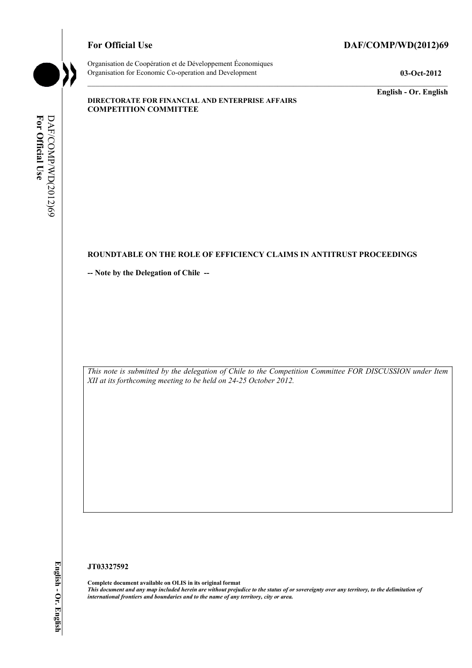### For Official Use DAF/COMP/WD(2012)69



Organisation de Coopération et de Développement Économiques Organisation for Economic Co-operation and Development **03-Oct-2012** 

**English - Or. English** 

#### **DIRECTORATE FOR FINANCIAL AND ENTERPRISE AFFAIRS COMPETITION COMMITTEE**

# For Official Use DAF/COMP/WD(2012)69 **For Official Use**  DAF/COMP/WD(2012)69

### **ROUNDTABLE ON THE ROLE OF EFFICIENCY CLAIMS IN ANTITRUST PROCEEDINGS**

**-- Note by the Delegation of Chile --** 

*This note is submitted by the delegation of Chile to the Competition Committee FOR DISCUSSION under Item XII at its forthcoming meeting to be held on 24-25 October 2012.* 

#### **JT03327592**

**Complete document available on OLIS in its original format** *This document and any map included herein are without prejudice to the status of or sovereignty over any territory, to the delimitation of international frontiers and boundaries and to the name of any territory, city or area.*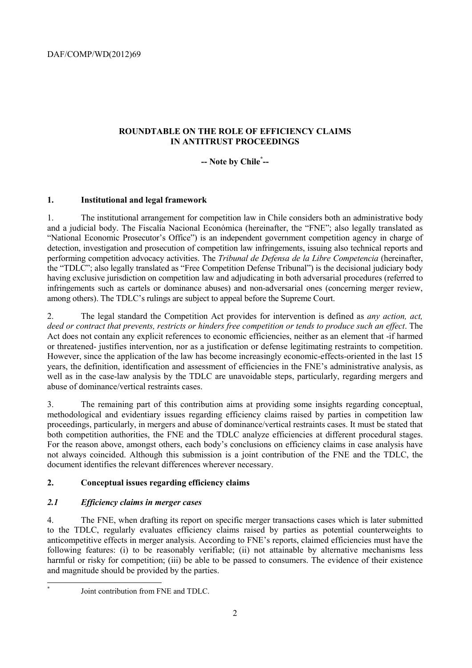# **ROUNDTABLE ON THE ROLE OF EFFICIENCY CLAIMS IN ANTITRUST PROCEEDINGS**

# **-- Note by Chile\* --**

# **1. Institutional and legal framework**

1. The institutional arrangement for competition law in Chile considers both an administrative body and a judicial body. The Fiscalía Nacional Económica (hereinafter, the "FNE"; also legally translated as "National Economic Prosecutor's Office") is an independent government competition agency in charge of detection, investigation and prosecution of competition law infringements, issuing also technical reports and performing competition advocacy activities. The *Tribunal de Defensa de la Libre Competencia* (hereinafter, the "TDLC"; also legally translated as "Free Competition Defense Tribunal") is the decisional judiciary body having exclusive jurisdiction on competition law and adjudicating in both adversarial procedures (referred to infringements such as cartels or dominance abuses) and non-adversarial ones (concerning merger review, among others). The TDLC's rulings are subject to appeal before the Supreme Court.

2. The legal standard the Competition Act provides for intervention is defined as *any action, act, deed or contract that prevents, restricts or hinders free competition or tends to produce such an effect*. The Act does not contain any explicit references to economic efficiencies, neither as an element that -if harmed or threatened- justifies intervention, nor as a justification or defense legitimating restraints to competition. However, since the application of the law has become increasingly economic-effects-oriented in the last 15 years, the definition, identification and assessment of efficiencies in the FNE's administrative analysis, as well as in the case-law analysis by the TDLC are unavoidable steps, particularly, regarding mergers and abuse of dominance/vertical restraints cases.

3. The remaining part of this contribution aims at providing some insights regarding conceptual, methodological and evidentiary issues regarding efficiency claims raised by parties in competition law proceedings, particularly, in mergers and abuse of dominance/vertical restraints cases. It must be stated that both competition authorities, the FNE and the TDLC analyze efficiencies at different procedural stages. For the reason above, amongst others, each body's conclusions on efficiency claims in case analysis have not always coincided. Although this submission is a joint contribution of the FNE and the TDLC, the document identifies the relevant differences wherever necessary.

# **2. Conceptual issues regarding efficiency claims**

# *2.1 Efficiency claims in merger cases*

4. The FNE, when drafting its report on specific merger transactions cases which is later submitted to the TDLC, regularly evaluates efficiency claims raised by parties as potential counterweights to anticompetitive effects in merger analysis. According to FNE's reports, claimed efficiencies must have the following features: (i) to be reasonably verifiable; (ii) not attainable by alternative mechanisms less harmful or risky for competition; (iii) be able to be passed to consumers. The evidence of their existence and magnitude should be provided by the parties.

 \*

Joint contribution from FNE and TDLC.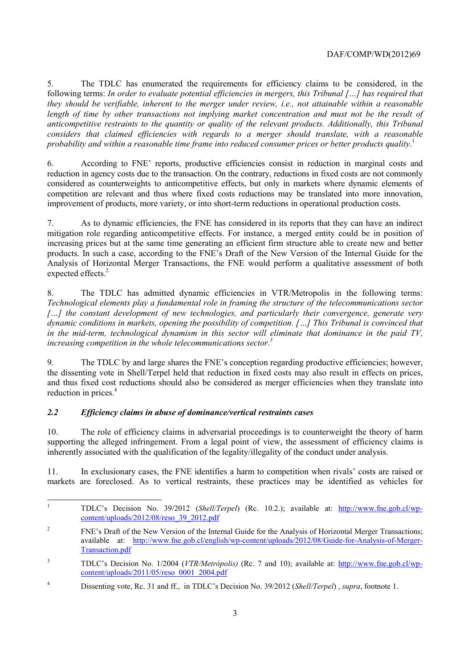5. The TDLC has enumerated the requirements for efficiency claims to be considered, in the following terms: *In order to evaluate potential efficiencies in mergers, this Tribunal […] has required that they should be verifiable, inherent to the merger under review, i.e., not attainable within a reasonable length of time by other transactions not implying market concentration and must not be the result of anticompetitive restraints to the quantity or quality of the relevant products. Additionally, this Tribunal considers that claimed efficiencies with regards to a merger should translate, with a reasonable probability and within a reasonable time frame into reduced consumer prices or better products quality*. 1

6. According to FNE' reports, productive efficiencies consist in reduction in marginal costs and reduction in agency costs due to the transaction. On the contrary, reductions in fixed costs are not commonly considered as counterweights to anticompetitive effects, but only in markets where dynamic elements of competition are relevant and thus where fixed costs reductions may be translated into more innovation, improvement of products, more variety, or into short-term reductions in operational production costs.

7. As to dynamic efficiencies, the FNE has considered in its reports that they can have an indirect mitigation role regarding anticompetitive effects. For instance, a merged entity could be in position of increasing prices but at the same time generating an efficient firm structure able to create new and better products. In such a case, according to the FNE's Draft of the New Version of the Internal Guide for the Analysis of Horizontal Merger Transactions, the FNE would perform a qualitative assessment of both expected effects.<sup>2</sup>

8. The TDLC has admitted dynamic efficiencies in VTR/Metropolis in the following terms: *Technological elements play a fundamental role in framing the structure of the telecommunications sector*  […] the constant development of new technologies, and particularly their convergence, generate very *dynamic conditions in markets, opening the possibility of competition. […] This Tribunal is convinced that in the mid-term, technological dynamism in this sector will eliminate that dominance in the paid TV, increasing competition in the whole telecommunications sector*. *3*

9. The TDLC by and large shares the FNE's conception regarding productive efficiencies; however, the dissenting vote in Shell/Terpel held that reduction in fixed costs may also result in effects on prices, and thus fixed cost reductions should also be considered as merger efficiencies when they translate into reduction in prices.<sup>4</sup>

# *2.2 Efficiency claims in abuse of dominance/vertical restraints cases*

10. The role of efficiency claims in adversarial proceedings is to counterweight the theory of harm supporting the alleged infringement. From a legal point of view, the assessment of efficiency claims is inherently associated with the qualification of the legality/illegality of the conduct under analysis.

11. In exclusionary cases, the FNE identifies a harm to competition when rivals' costs are raised or markets are foreclosed. As to vertical restraints, these practices may be identified as vehicles for

<sup>|&</sup>lt;br>|<br>| TDLC's Decision No. 39/2012 (*Shell/Terpel*) (Rc. 10.2.); available at: http://www.fne.gob.cl/wpcontent/uploads/2012/08/reso  $39\,2012$ .pdf

 $\overline{2}$  FNE's Draft of the New Version of the Internal Guide for the Analysis of Horizontal Merger Transactions; available at: http://www.fne.gob.cl/english/wp-content/uploads/2012/08/Guide-for-Analysis-of-Merger-Transaction.pdf

<sup>3</sup> TDLC's Decision No. 1/2004 (*VTR/Metrópolis)* (Rc. 7 and 10); available at: http://www.fne.gob.cl/wpcontent/uploads/2011/05/reso\_0001\_2004.pdf

<sup>4</sup> Dissenting vote, Rc. 31 and ff., in TDLC's Decision No. 39/2012 (*Shell/Terpel*) , *supra*, footnote 1.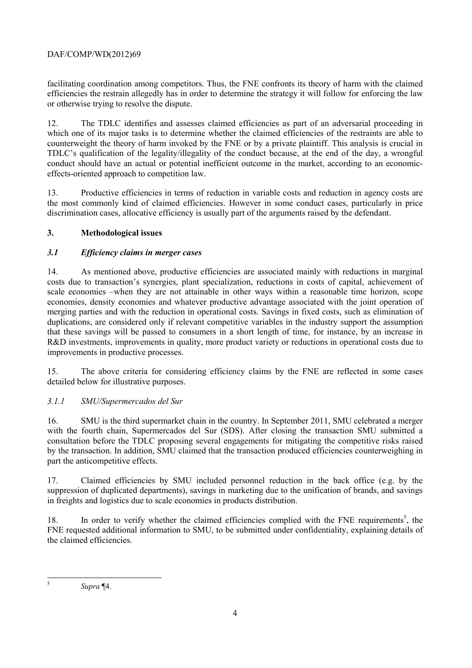facilitating coordination among competitors. Thus, the FNE confronts its theory of harm with the claimed efficiencies the restrain allegedly has in order to determine the strategy it will follow for enforcing the law or otherwise trying to resolve the dispute.

12. The TDLC identifies and assesses claimed efficiencies as part of an adversarial proceeding in which one of its major tasks is to determine whether the claimed efficiencies of the restraints are able to counterweight the theory of harm invoked by the FNE or by a private plaintiff. This analysis is crucial in TDLC's qualification of the legality/illegality of the conduct because, at the end of the day, a wrongful conduct should have an actual or potential inefficient outcome in the market, according to an economiceffects-oriented approach to competition law.

13. Productive efficiencies in terms of reduction in variable costs and reduction in agency costs are the most commonly kind of claimed efficiencies. However in some conduct cases, particularly in price discrimination cases, allocative efficiency is usually part of the arguments raised by the defendant.

# **3. Methodological issues**

### *3.1 Efficiency claims in merger cases*

14. As mentioned above, productive efficiencies are associated mainly with reductions in marginal costs due to transaction's synergies, plant specialization, reductions in costs of capital, achievement of scale economies –when they are not attainable in other ways within a reasonable time horizon, scope economies, density economies and whatever productive advantage associated with the joint operation of merging parties and with the reduction in operational costs. Savings in fixed costs, such as elimination of duplications, are considered only if relevant competitive variables in the industry support the assumption that these savings will be passed to consumers in a short length of time, for instance, by an increase in R&D investments, improvements in quality, more product variety or reductions in operational costs due to improvements in productive processes.

15. The above criteria for considering efficiency claims by the FNE are reflected in some cases detailed below for illustrative purposes.

# *3.1.1 SMU/Supermercados del Sur*

16. SMU is the third supermarket chain in the country. In September 2011, SMU celebrated a merger with the fourth chain, Supermercados del Sur (SDS). After closing the transaction SMU submitted a consultation before the TDLC proposing several engagements for mitigating the competitive risks raised by the transaction. In addition, SMU claimed that the transaction produced efficiencies counterweighing in part the anticompetitive effects.

17. Claimed efficiencies by SMU included personnel reduction in the back office (e.g. by the suppression of duplicated departments), savings in marketing due to the unification of brands, and savings in freights and logistics due to scale economies in products distribution.

18. In order to verify whether the claimed efficiencies complied with the FNE requirements<sup>5</sup>, the FNE requested additional information to SMU, to be submitted under confidentiality, explaining details of the claimed efficiencies.

*Supra* ¶4.

 5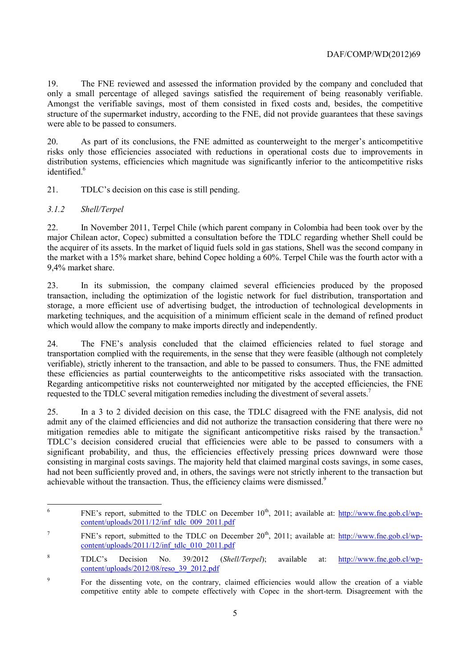19. The FNE reviewed and assessed the information provided by the company and concluded that only a small percentage of alleged savings satisfied the requirement of being reasonably verifiable. Amongst the verifiable savings, most of them consisted in fixed costs and, besides, the competitive structure of the supermarket industry, according to the FNE, did not provide guarantees that these savings were able to be passed to consumers.

20. As part of its conclusions, the FNE admitted as counterweight to the merger's anticompetitive risks only those efficiencies associated with reductions in operational costs due to improvements in distribution systems, efficiencies which magnitude was significantly inferior to the anticompetitive risks identified.<sup>6</sup>

21. TDLC's decision on this case is still pending.

### *3.1.2 Shell/Terpel*

22. In November 2011, Terpel Chile (which parent company in Colombia had been took over by the major Chilean actor, Copec) submitted a consultation before the TDLC regarding whether Shell could be the acquirer of its assets. In the market of liquid fuels sold in gas stations, Shell was the second company in the market with a 15% market share, behind Copec holding a 60%. Terpel Chile was the fourth actor with a 9,4% market share.

23. In its submission, the company claimed several efficiencies produced by the proposed transaction, including the optimization of the logistic network for fuel distribution, transportation and storage, a more efficient use of advertising budget, the introduction of technological developments in marketing techniques, and the acquisition of a minimum efficient scale in the demand of refined product which would allow the company to make imports directly and independently.

24. The FNE's analysis concluded that the claimed efficiencies related to fuel storage and transportation complied with the requirements, in the sense that they were feasible (although not completely verifiable), strictly inherent to the transaction, and able to be passed to consumers. Thus, the FNE admitted these efficiencies as partial counterweights to the anticompetitive risks associated with the transaction. Regarding anticompetitive risks not counterweighted nor mitigated by the accepted efficiencies, the FNE requested to the TDLC several mitigation remedies including the divestment of several assets.<sup>7</sup>

25. In a 3 to 2 divided decision on this case, the TDLC disagreed with the FNE analysis, did not admit any of the claimed efficiencies and did not authorize the transaction considering that there were no mitigation remedies able to mitigate the significant anticompetitive risks raised by the transaction.<sup>8</sup> TDLC's decision considered crucial that efficiencies were able to be passed to consumers with a significant probability, and thus, the efficiencies effectively pressing prices downward were those consisting in marginal costs savings. The majority held that claimed marginal costs savings, in some cases, had not been sufficiently proved and, in others, the savings were not strictly inherent to the transaction but achievable without the transaction. Thus, the efficiency claims were dismissed.<sup>9</sup>

 6 FNE's report, submitted to the TDLC on December  $10^{th}$ , 2011; available at: http://www.fne.gob.cl/wpcontent/uploads/2011/12/inf\_tdlc\_009\_2011.pdf

<sup>7</sup> FNE's report, submitted to the TDLC on December  $20<sup>th</sup>$ , 2011; available at: http://www.fne.gob.cl/wpcontent/uploads/2011/12/inf\_tdlc\_010\_2011.pdf

<sup>8</sup> TDLC's Decision No. 39/2012 (*Shell/Terpel*); available at: http://www.fne.gob.cl/wpcontent/uploads/2012/08/reso\_39\_2012.pdf

<sup>9</sup> For the dissenting vote, on the contrary, claimed efficiencies would allow the creation of a viable competitive entity able to compete effectively with Copec in the short-term. Disagreement with the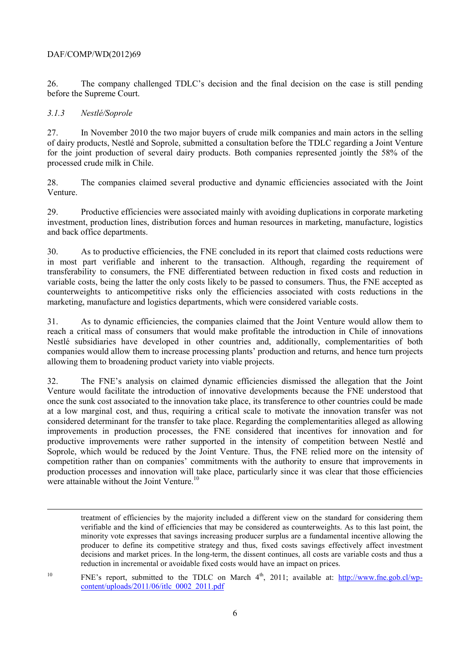26. The company challenged TDLC's decision and the final decision on the case is still pending before the Supreme Court.

### *3.1.3 Nestlé/Soprole*

1

27. In November 2010 the two major buyers of crude milk companies and main actors in the selling of dairy products, Nestlé and Soprole, submitted a consultation before the TDLC regarding a Joint Venture for the joint production of several dairy products. Both companies represented jointly the 58% of the processed crude milk in Chile.

28. The companies claimed several productive and dynamic efficiencies associated with the Joint Venture.

29. Productive efficiencies were associated mainly with avoiding duplications in corporate marketing investment, production lines, distribution forces and human resources in marketing, manufacture, logistics and back office departments.

30. As to productive efficiencies, the FNE concluded in its report that claimed costs reductions were in most part verifiable and inherent to the transaction. Although, regarding the requirement of transferability to consumers, the FNE differentiated between reduction in fixed costs and reduction in variable costs, being the latter the only costs likely to be passed to consumers. Thus, the FNE accepted as counterweights to anticompetitive risks only the efficiencies associated with costs reductions in the marketing, manufacture and logistics departments, which were considered variable costs.

31. As to dynamic efficiencies, the companies claimed that the Joint Venture would allow them to reach a critical mass of consumers that would make profitable the introduction in Chile of innovations Nestlé subsidiaries have developed in other countries and, additionally, complementarities of both companies would allow them to increase processing plants' production and returns, and hence turn projects allowing them to broadening product variety into viable projects.

32. The FNE's analysis on claimed dynamic efficiencies dismissed the allegation that the Joint Venture would facilitate the introduction of innovative developments because the FNE understood that once the sunk cost associated to the innovation take place, its transference to other countries could be made at a low marginal cost, and thus, requiring a critical scale to motivate the innovation transfer was not considered determinant for the transfer to take place. Regarding the complementarities alleged as allowing improvements in production processes, the FNE considered that incentives for innovation and for productive improvements were rather supported in the intensity of competition between Nestlé and Soprole, which would be reduced by the Joint Venture. Thus, the FNE relied more on the intensity of competition rather than on companies' commitments with the authority to ensure that improvements in production processes and innovation will take place, particularly since it was clear that those efficiencies were attainable without the Joint Venture.<sup>10</sup>

<sup>10</sup> FNE's report, submitted to the TDLC on March  $4<sup>th</sup>$ , 2011; available at:  $\frac{http://www.fne.gov(cl/wp-1)}{http://www.fne.gov(cl/wp-1)}$ content/uploads/2011/06/itlc\_0002\_2011.pdf

treatment of efficiencies by the majority included a different view on the standard for considering them verifiable and the kind of efficiencies that may be considered as counterweights. As to this last point, the minority vote expresses that savings increasing producer surplus are a fundamental incentive allowing the producer to define its competitive strategy and thus, fixed costs savings effectively affect investment decisions and market prices. In the long-term, the dissent continues, all costs are variable costs and thus a reduction in incremental or avoidable fixed costs would have an impact on prices.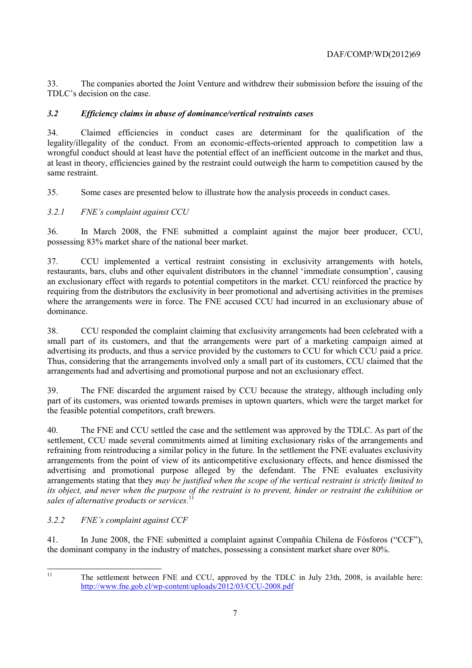33. The companies aborted the Joint Venture and withdrew their submission before the issuing of the TDLC's decision on the case.

# *3.2 Efficiency claims in abuse of dominance/vertical restraints cases*

34. Claimed efficiencies in conduct cases are determinant for the qualification of the legality/illegality of the conduct. From an economic-effects-oriented approach to competition law a wrongful conduct should at least have the potential effect of an inefficient outcome in the market and thus, at least in theory, efficiencies gained by the restraint could outweigh the harm to competition caused by the same restraint.

35. Some cases are presented below to illustrate how the analysis proceeds in conduct cases.

# *3.2.1 FNE's complaint against CCU*

36. In March 2008, the FNE submitted a complaint against the major beer producer, CCU, possessing 83% market share of the national beer market.

37. CCU implemented a vertical restraint consisting in exclusivity arrangements with hotels, restaurants, bars, clubs and other equivalent distributors in the channel 'immediate consumption', causing an exclusionary effect with regards to potential competitors in the market. CCU reinforced the practice by requiring from the distributors the exclusivity in beer promotional and advertising activities in the premises where the arrangements were in force. The FNE accused CCU had incurred in an exclusionary abuse of dominance.

38. CCU responded the complaint claiming that exclusivity arrangements had been celebrated with a small part of its customers, and that the arrangements were part of a marketing campaign aimed at advertising its products, and thus a service provided by the customers to CCU for which CCU paid a price. Thus, considering that the arrangements involved only a small part of its customers, CCU claimed that the arrangements had and advertising and promotional purpose and not an exclusionary effect.

39. The FNE discarded the argument raised by CCU because the strategy, although including only part of its customers, was oriented towards premises in uptown quarters, which were the target market for the feasible potential competitors, craft brewers.

40. The FNE and CCU settled the case and the settlement was approved by the TDLC. As part of the settlement, CCU made several commitments aimed at limiting exclusionary risks of the arrangements and refraining from reintroducing a similar policy in the future. In the settlement the FNE evaluates exclusivity arrangements from the point of view of its anticompetitive exclusionary effects, and hence dismissed the advertising and promotional purpose alleged by the defendant. The FNE evaluates exclusivity arrangements stating that they *may be justified when the scope of the vertical restraint is strictly limited to its object, and never when the purpose of the restraint is to prevent, hinder or restraint the exhibition or sales of alternative products or services.*<sup>11</sup>

# *3.2.2 FNE's complaint against CCF*

41. In June 2008, the FNE submitted a complaint against Compañía Chilena de Fósforos ("CCF"), the dominant company in the industry of matches, possessing a consistent market share over 80%.

 $11$ 

The settlement between FNE and CCU, approved by the TDLC in July 23th, 2008, is available here: http://www.fne.gob.cl/wp-content/uploads/2012/03/CCU-2008.pdf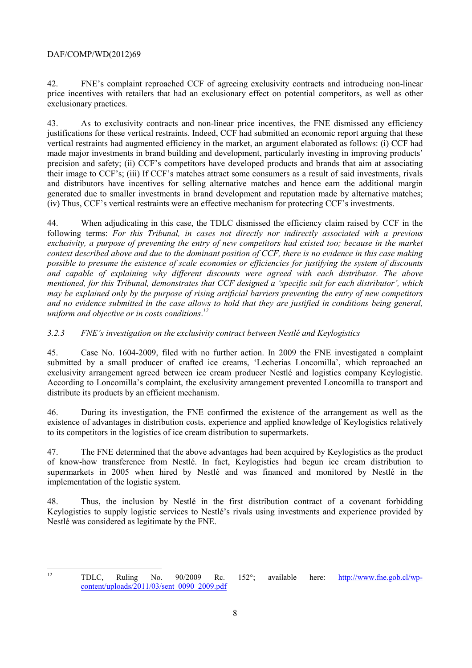42. FNE's complaint reproached CCF of agreeing exclusivity contracts and introducing non-linear price incentives with retailers that had an exclusionary effect on potential competitors, as well as other exclusionary practices.

43. As to exclusivity contracts and non-linear price incentives, the FNE dismissed any efficiency justifications for these vertical restraints. Indeed, CCF had submitted an economic report arguing that these vertical restraints had augmented efficiency in the market, an argument elaborated as follows: (i) CCF had made major investments in brand building and development, particularly investing in improving products' precision and safety; (ii) CCF's competitors have developed products and brands that aim at associating their image to CCF's; (iii) If CCF's matches attract some consumers as a result of said investments, rivals and distributors have incentives for selling alternative matches and hence earn the additional margin generated due to smaller investments in brand development and reputation made by alternative matches; (iv) Thus, CCF's vertical restraints were an effective mechanism for protecting CCF's investments.

44. When adjudicating in this case, the TDLC dismissed the efficiency claim raised by CCF in the following terms: *For this Tribunal, in cases not directly nor indirectly associated with a previous exclusivity, a purpose of preventing the entry of new competitors had existed too; because in the market context described above and due to the dominant position of CCF, there is no evidence in this case making possible to presume the existence of scale economies or efficiencies for justifying the system of discounts and capable of explaining why different discounts were agreed with each distributor. The above mentioned, for this Tribunal, demonstrates that CCF designed a 'specific suit for each distributor', which may be explained only by the purpose of rising artificial barriers preventing the entry of new competitors and no evidence submitted in the case allows to hold that they are justified in conditions being general, uniform and objective or in costs conditions*. *12*

*3.2.3 FNE's investigation on the exclusivity contract between Nestlé and Keylogistics* 

45. Case No. 1604-2009, filed with no further action. In 2009 the FNE investigated a complaint submitted by a small producer of crafted ice creams, 'Lecherías Loncomilla', which reproached an exclusivity arrangement agreed between ice cream producer Nestlé and logistics company Keylogistic. According to Loncomilla's complaint, the exclusivity arrangement prevented Loncomilla to transport and distribute its products by an efficient mechanism.

46. During its investigation, the FNE confirmed the existence of the arrangement as well as the existence of advantages in distribution costs, experience and applied knowledge of Keylogistics relatively to its competitors in the logistics of ice cream distribution to supermarkets.

47. The FNE determined that the above advantages had been acquired by Keylogistics as the product of know-how transference from Nestlé. In fact, Keylogistics had begun ice cream distribution to supermarkets in 2005 when hired by Nestlé and was financed and monitored by Nestlé in the implementation of the logistic system.

48. Thus, the inclusion by Nestlé in the first distribution contract of a covenant forbidding Keylogistics to supply logistic services to Nestlé's rivals using investments and experience provided by Nestlé was considered as legitimate by the FNE.

 $12$ 

<sup>12</sup> TDLC, Ruling No. 90/2009 Rc. 152°; available here: http://www.fne.gob.cl/wpcontent/uploads/2011/03/sent\_0090\_2009.pdf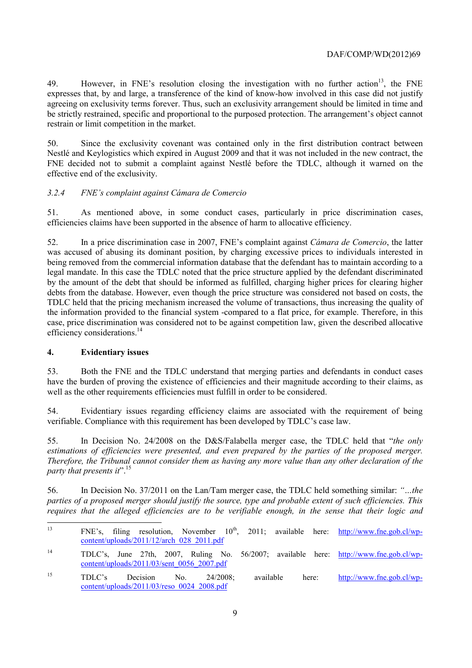49. However, in FNE's resolution closing the investigation with no further action<sup>13</sup>, the FNE expresses that, by and large, a transference of the kind of know-how involved in this case did not justify agreeing on exclusivity terms forever. Thus, such an exclusivity arrangement should be limited in time and be strictly restrained, specific and proportional to the purposed protection. The arrangement's object cannot restrain or limit competition in the market.

50. Since the exclusivity covenant was contained only in the first distribution contract between Nestlé and Keylogistics which expired in August 2009 and that it was not included in the new contract, the FNE decided not to submit a complaint against Nestlé before the TDLC, although it warned on the effective end of the exclusivity.

### *3.2.4 FNE's complaint against Cámara de Comercio*

51. As mentioned above, in some conduct cases, particularly in price discrimination cases, efficiencies claims have been supported in the absence of harm to allocative efficiency.

52. In a price discrimination case in 2007, FNE's complaint against *Cámara de Comercio*, the latter was accused of abusing its dominant position, by charging excessive prices to individuals interested in being removed from the commercial information database that the defendant has to maintain according to a legal mandate. In this case the TDLC noted that the price structure applied by the defendant discriminated by the amount of the debt that should be informed as fulfilled, charging higher prices for clearing higher debts from the database. However, even though the price structure was considered not based on costs, the TDLC held that the pricing mechanism increased the volume of transactions, thus increasing the quality of the information provided to the financial system -compared to a flat price, for example. Therefore, in this case, price discrimination was considered not to be against competition law, given the described allocative efficiency considerations.<sup>14</sup>

#### **4. Evidentiary issues**

53. Both the FNE and the TDLC understand that merging parties and defendants in conduct cases have the burden of proving the existence of efficiencies and their magnitude according to their claims, as well as the other requirements efficiencies must fulfill in order to be considered.

54. Evidentiary issues regarding efficiency claims are associated with the requirement of being verifiable. Compliance with this requirement has been developed by TDLC's case law.

55. In Decision No. 24/2008 on the D&S/Falabella merger case, the TDLC held that "*the only estimations of efficiencies were presented, and even prepared by the parties of the proposed merger. Therefore, the Tribunal cannot consider them as having any more value than any other declaration of the party that presents it*".15

56. In Decision No. 37/2011 on the Lan/Tam merger case, the TDLC held something similar: *"…the parties of a proposed merger should justify the source, type and probable extent of such efficiencies. This requires that the alleged efficiencies are to be verifiable enough, in the sense that their logic and* 

 $13$ FNE's, filing resolution, November  $10^{th}$ , 2011; available here: http://www.fne.gob.cl/wpcontent/uploads/2011/12/arch\_028\_2011.pdf

<sup>14</sup> TDLC's, June 27th, 2007, Ruling No. 56/2007; available here: http://www.fne.gob.cl/wpcontent/uploads/2011/03/sent\_0056\_2007.pdf

<sup>15</sup> TDLC's Decision No. 24/2008; available here: http://www.fne.gob.cl/wpcontent/uploads/2011/03/reso\_0024\_2008.pdf